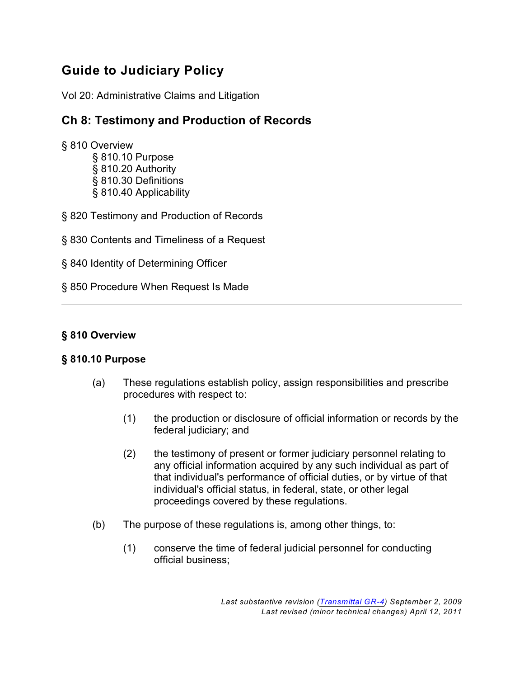# **Guide to Judiciary Policy**

Vol 20: Administrative Claims and Litigation

## **Ch 8: Testimony and Production of Records**

- § 810 Overview § 810.10 Purpose § 810.20 Authority § 810.30 Definitions § 810.40 Applicability
- § 820 Testimony and Production of Records
- § 830 Contents and Timeliness of a Request
- § 840 Identity of Determining Officer
- § 850 Procedure When Request Is Made

### **§ 810 Overview**

### **§ 810.10 Purpose**

- (a) These regulations establish policy, assign responsibilities and prescribe procedures with respect to:
	- (1) the production or disclosure of official information or records by the federal judiciary; and
	- (2) the testimony of present or former judiciary personnel relating to any official information acquired by any such individual as part of that individual's performance of official duties, or by virtue of that individual's official status, in federal, state, or other legal proceedings covered by these regulations.
- (b) The purpose of these regulations is, among other things, to:
	- (1) conserve the time of federal judicial personnel for conducting official business;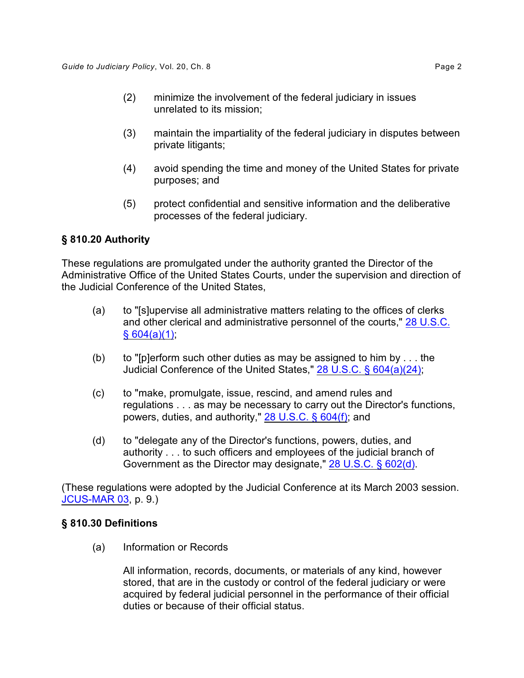- (2) minimize the involvement of the federal judiciary in issues unrelated to its mission;
- (3) maintain the impartiality of the federal judiciary in disputes between private litigants;
- (4) avoid spending the time and money of the United States for private purposes; and
- (5) protect confidential and sensitive information and the deliberative processes of the federal judiciary.

### **§ 810.20 Authority**

These regulations are promulgated under the authority granted the Director of the Administrative Office of the United States Courts, under the supervision and direction of the Judicial Conference of the United States,

- (a) to "[s]upervise all administrative matters relating to the offices of clerks and other clerical and administrative personnel of the courts," [28 U.S.C.](http://www.law.cornell.edu/uscode/28/604.html)  $§ 604(a)(1);$  $§ 604(a)(1);$
- (b) to "[p]erform such other duties as may be assigned to him by  $\dots$  the Judicial Conference of the United States," [28 U.S.C. § 604\(a\)\(24\)](http://www.law.cornell.edu/uscode/28/604.html#a_24);
- (c) to "make, promulgate, issue, rescind, and amend rules and regulations . . . as may be necessary to carry out the Director's functions, powers, duties, and authority," [28 U.S.C. § 604\(f\)](http://www.law.cornell.edu/uscode/28/604.html#f); and
- (d) to "delegate any of the Director's functions, powers, duties, and authority . . . to such officers and employees of the judicial branch of Government as the Director may designate," [28 U.S.C. § 602\(d\)](http://www.law.cornell.edu/uscode/28/602.html#d).

(These regulations were adopted by the Judicial Conference at its March 2003 session. [JCUS-MAR 03](http://www.uscourts.gov/FederalCourts/JudicialConference/Proceedings/Proceedings.aspx?doc=/uscourts/FederalCourts/judconf/proceedings/2003-03.pdf), p. 9.)

### **§ 810.30 Definitions**

(a) Information or Records

All information, records, documents, or materials of any kind, however stored, that are in the custody or control of the federal judiciary or were acquired by federal judicial personnel in the performance of their official duties or because of their official status.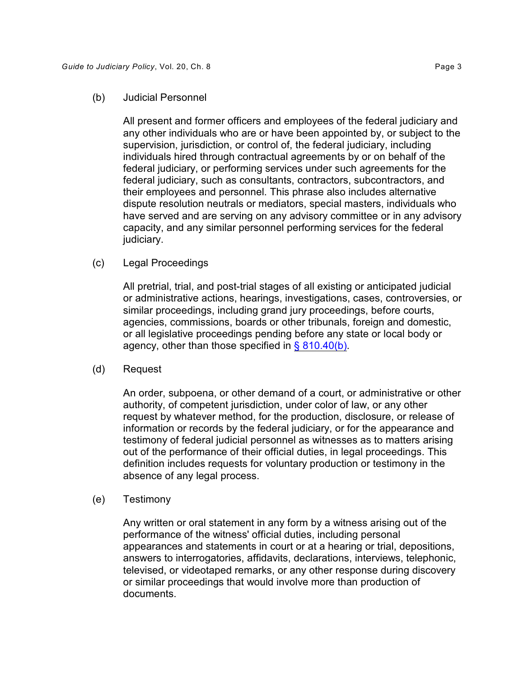#### (b) Judicial Personnel

All present and former officers and employees of the federal judiciary and any other individuals who are or have been appointed by, or subject to the supervision, jurisdiction, or control of, the federal judiciary, including individuals hired through contractual agreements by or on behalf of the federal judiciary, or performing services under such agreements for the federal judiciary, such as consultants, contractors, subcontractors, and their employees and personnel. This phrase also includes alternative dispute resolution neutrals or mediators, special masters, individuals who have served and are serving on any advisory committee or in any advisory capacity, and any similar personnel performing services for the federal judiciary.

(c) Legal Proceedings

All pretrial, trial, and post-trial stages of all existing or anticipated judicial or administrative actions, hearings, investigations, cases, controversies, or similar proceedings, including grand jury proceedings, before courts, agencies, commissions, boards or other tribunals, foreign and domestic, or all legislative proceedings pending before any state or local body or agency, other than those specified in [§ 810.40\(b\)](http://jnet.ao.dcn/Guide/Vol_20_Administrative_Claims_and_Litigation/Ch_8_Testimony_and_Production_Records.html#810_40).

(d) Request

An order, subpoena, or other demand of a court, or administrative or other authority, of competent jurisdiction, under color of law, or any other request by whatever method, for the production, disclosure, or release of information or records by the federal judiciary, or for the appearance and testimony of federal judicial personnel as witnesses as to matters arising out of the performance of their official duties, in legal proceedings. This definition includes requests for voluntary production or testimony in the absence of any legal process.

(e) Testimony

Any written or oral statement in any form by a witness arising out of the performance of the witness' official duties, including personal appearances and statements in court or at a hearing or trial, depositions, answers to interrogatories, affidavits, declarations, interviews, telephonic, televised, or videotaped remarks, or any other response during discovery or similar proceedings that would involve more than production of documents.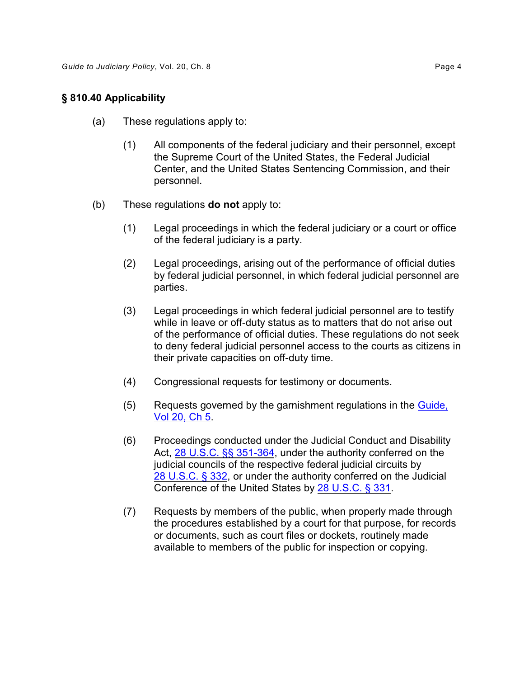### **§ 810.40 Applicability**

- (a) These regulations apply to:
	- (1) All components of the federal judiciary and their personnel, except the Supreme Court of the United States, the Federal Judicial Center, and the United States Sentencing Commission, and their personnel.
- (b) These regulations **do not** apply to:
	- (1) Legal proceedings in which the federal judiciary or a court or office of the federal judiciary is a party.
	- (2) Legal proceedings, arising out of the performance of official duties by federal judicial personnel, in which federal judicial personnel are parties.
	- (3) Legal proceedings in which federal judicial personnel are to testify while in leave or off-duty status as to matters that do not arise out of the performance of official duties. These regulations do not seek to deny federal judicial personnel access to the courts as citizens in their private capacities on off-duty time.
	- (4) Congressional requests for testimony or documents.
	- (5) Requests governed by the garnishment regulations in the [Guide,](http://jnet.ao.dcn/Guide/Vol_20_Administrative_Claims_and_Litigation/Ch_5_Garnishment.html) [Vol 20, Ch 5](http://jnet.ao.dcn/Guide/Vol_20_Administrative_Claims_and_Litigation/Ch_5_Garnishment.html).
	- (6) Proceedings conducted under the Judicial Conduct and Disability Act, [28 U.S.C. §§ 351-364](http://www.law.cornell.edu/uscode/html/uscode28/usc_sup_01_28_10_I_20_16.html), under the authority conferred on the judicial councils of the respective federal judicial circuits by [28 U.S.C. § 332](http://www.law.cornell.edu/uscode/28/332.html), or under the authority conferred on the Judicial Conference of the United States by [28 U.S.C. § 331](http://www.law.cornell.edu/uscode/28/331.html).
	- (7) Requests by members of the public, when properly made through the procedures established by a court for that purpose, for records or documents, such as court files or dockets, routinely made available to members of the public for inspection or copying.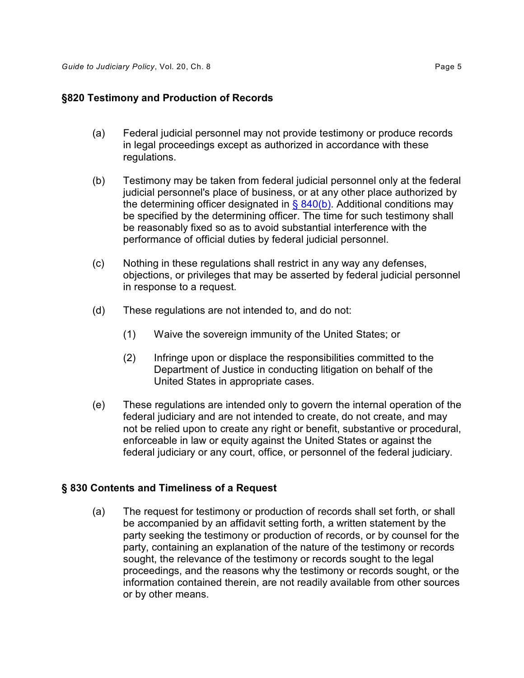### **§820 Testimony and Production of Records**

- (a) Federal judicial personnel may not provide testimony or produce records in legal proceedings except as authorized in accordance with these regulations.
- (b) Testimony may be taken from federal judicial personnel only at the federal judicial personnel's place of business, or at any other place authorized by the determining officer designated in  $\frac{6}{5}$  840(b). Additional conditions may be specified by the determining officer. The time for such testimony shall be reasonably fixed so as to avoid substantial interference with the performance of official duties by federal judicial personnel.
- (c) Nothing in these regulations shall restrict in any way any defenses, objections, or privileges that may be asserted by federal judicial personnel in response to a request.
- (d) These regulations are not intended to, and do not:
	- (1) Waive the sovereign immunity of the United States; or
	- (2) Infringe upon or displace the responsibilities committed to the Department of Justice in conducting litigation on behalf of the United States in appropriate cases.
- (e) These regulations are intended only to govern the internal operation of the federal judiciary and are not intended to create, do not create, and may not be relied upon to create any right or benefit, substantive or procedural, enforceable in law or equity against the United States or against the federal judiciary or any court, office, or personnel of the federal judiciary.

### **§ 830 Contents and Timeliness of a Request**

(a) The request for testimony or production of records shall set forth, or shall be accompanied by an affidavit setting forth, a written statement by the party seeking the testimony or production of records, or by counsel for the party, containing an explanation of the nature of the testimony or records sought, the relevance of the testimony or records sought to the legal proceedings, and the reasons why the testimony or records sought, or the information contained therein, are not readily available from other sources or by other means.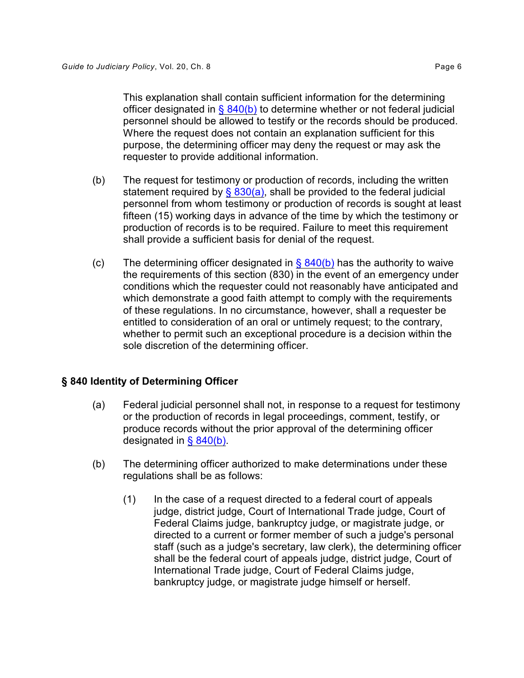This explanation shall contain sufficient information for the determining officer designated in  $\frac{6}{9}$  840(b) to determine whether or not federal judicial personnel should be allowed to testify or the records should be produced. Where the request does not contain an explanation sufficient for this purpose, the determining officer may deny the request or may ask the requester to provide additional information.

- (b) The request for testimony or production of records, including the written statement required by  $\S$  830(a), shall be provided to the federal judicial personnel from whom testimony or production of records is sought at least fifteen (15) working days in advance of the time by which the testimony or production of records is to be required. Failure to meet this requirement shall provide a sufficient basis for denial of the request.
- (c) The determining officer designated in  $\S$  840(b) has the authority to waive the requirements of this section (830) in the event of an emergency under conditions which the requester could not reasonably have anticipated and which demonstrate a good faith attempt to comply with the requirements of these regulations. In no circumstance, however, shall a requester be entitled to consideration of an oral or untimely request; to the contrary, whether to permit such an exceptional procedure is a decision within the sole discretion of the determining officer.

### **§ 840 Identity of Determining Officer**

- (a) Federal judicial personnel shall not, in response to a request for testimony or the production of records in legal proceedings, comment, testify, or produce records without the prior approval of the determining officer designated in  $\S$  840(b).
- (b) The determining officer authorized to make determinations under these regulations shall be as follows:
	- $(1)$  In the case of a request directed to a federal court of appeals judge, district judge, Court of International Trade judge, Court of Federal Claims judge, bankruptcy judge, or magistrate judge, or directed to a current or former member of such a judge's personal staff (such as a judge's secretary, law clerk), the determining officer shall be the federal court of appeals judge, district judge, Court of International Trade judge, Court of Federal Claims judge, bankruptcy judge, or magistrate judge himself or herself.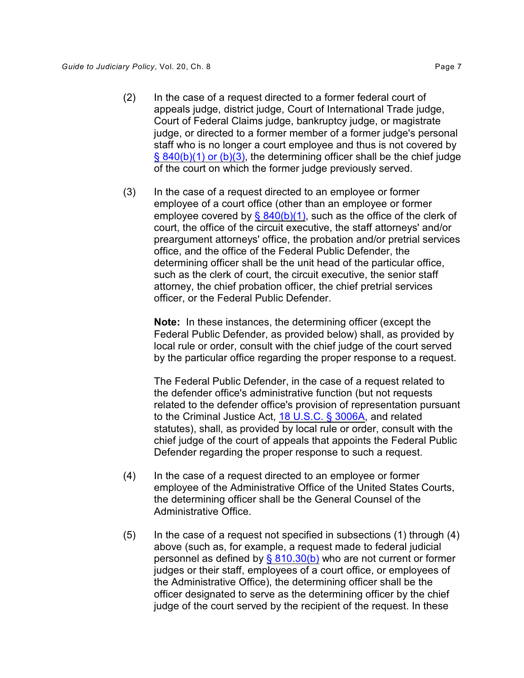- (2) In the case of a request directed to a former federal court of appeals judge, district judge, Court of International Trade judge, Court of Federal Claims judge, bankruptcy judge, or magistrate judge, or directed to a former member of a former judge's personal staff who is no longer a court employee and thus is not covered by  $\S$  840(b)(1) or (b)(3), the determining officer shall be the chief judge of the court on which the former judge previously served.
- (3) In the case of a request directed to an employee or former employee of a court office (other than an employee or former employee covered by §  $840(b)(1)$ , such as the office of the clerk of court, the office of the circuit executive, the staff attorneys' and/or preargument attorneys' office, the probation and/or pretrial services office, and the office of the Federal Public Defender, the determining officer shall be the unit head of the particular office, such as the clerk of court, the circuit executive, the senior staff attorney, the chief probation officer, the chief pretrial services officer, or the Federal Public Defender.

 **Note:** In these instances, the determining officer (except the Federal Public Defender, as provided below) shall, as provided by local rule or order, consult with the chief judge of the court served by the particular office regarding the proper response to a request.

The Federal Public Defender, in the case of a request related to the defender office's administrative function (but not requests related to the defender office's provision of representation pursuant to the Criminal Justice Act, [18 U.S.C. § 3006A](http://www.law.cornell.edu/uscode/18/3006A.html), and related statutes), shall, as provided by local rule or order, consult with the chief judge of the court of appeals that appoints the Federal Public Defender regarding the proper response to such a request.

- (4) In the case of a request directed to an employee or former employee of the Administrative Office of the United States Courts, the determining officer shall be the General Counsel of the Administrative Office.
- $(5)$  In the case of a request not specified in subsections  $(1)$  through  $(4)$ above (such as, for example, a request made to federal judicial personnel as defined by  $\S$  810.30(b) who are not current or former judges or their staff, employees of a court office, or employees of the Administrative Office), the determining officer shall be the officer designated to serve as the determining officer by the chief judge of the court served by the recipient of the request. In these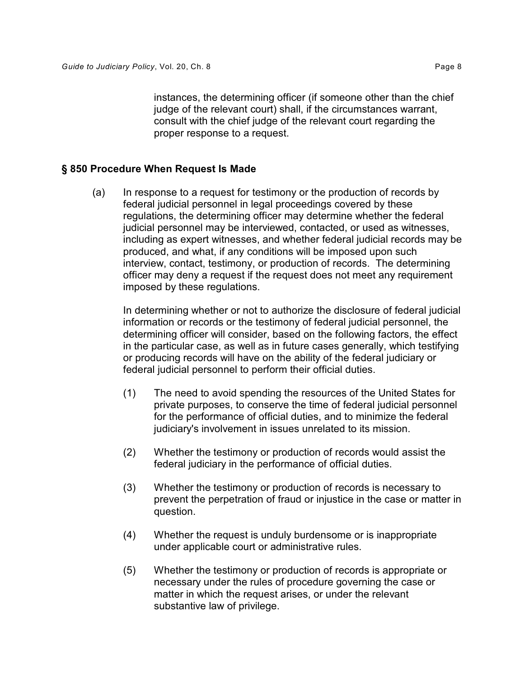instances, the determining officer (if someone other than the chief judge of the relevant court) shall, if the circumstances warrant, consult with the chief judge of the relevant court regarding the proper response to a request.

#### **§ 850 Procedure When Request Is Made**

(a) In response to a request for testimony or the production of records by federal judicial personnel in legal proceedings covered by these regulations, the determining officer may determine whether the federal judicial personnel may be interviewed, contacted, or used as witnesses, including as expert witnesses, and whether federal judicial records may be produced, and what, if any conditions will be imposed upon such interview, contact, testimony, or production of records. The determining officer may deny a request if the request does not meet any requirement imposed by these regulations.

In determining whether or not to authorize the disclosure of federal judicial information or records or the testimony of federal judicial personnel, the determining officer will consider, based on the following factors, the effect in the particular case, as well as in future cases generally, which testifying or producing records will have on the ability of the federal judiciary or federal judicial personnel to perform their official duties.

- (1) The need to avoid spending the resources of the United States for private purposes, to conserve the time of federal judicial personnel for the performance of official duties, and to minimize the federal judiciary's involvement in issues unrelated to its mission.
- (2) Whether the testimony or production of records would assist the federal judiciary in the performance of official duties.
- (3) Whether the testimony or production of records is necessary to prevent the perpetration of fraud or injustice in the case or matter in question.
- (4) Whether the request is unduly burdensome or is inappropriate under applicable court or administrative rules.
- (5) Whether the testimony or production of records is appropriate or necessary under the rules of procedure governing the case or matter in which the request arises, or under the relevant substantive law of privilege.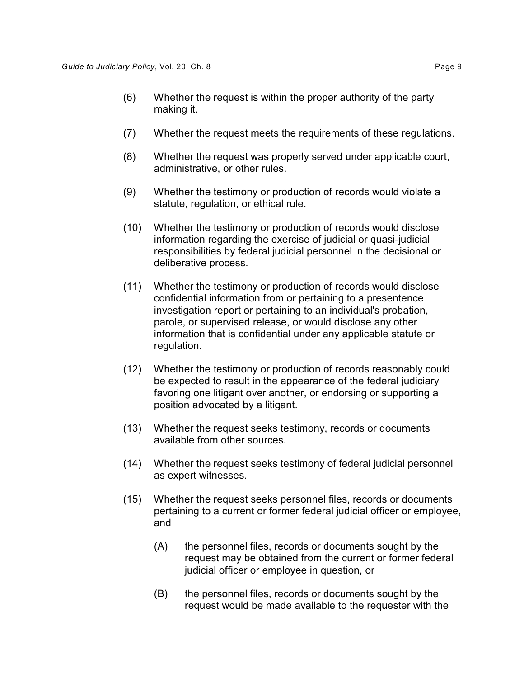- (6) Whether the request is within the proper authority of the party making it.
- (7) Whether the request meets the requirements of these regulations.
- (8) Whether the request was properly served under applicable court, administrative, or other rules.
- (9) Whether the testimony or production of records would violate a statute, regulation, or ethical rule.
- (10) Whether the testimony or production of records would disclose information regarding the exercise of judicial or quasi-judicial responsibilities by federal judicial personnel in the decisional or deliberative process.
- (11) Whether the testimony or production of records would disclose confidential information from or pertaining to a presentence investigation report or pertaining to an individual's probation, parole, or supervised release, or would disclose any other information that is confidential under any applicable statute or regulation.
- (12) Whether the testimony or production of records reasonably could be expected to result in the appearance of the federal judiciary favoring one litigant over another, or endorsing or supporting a position advocated by a litigant.
- (13) Whether the request seeks testimony, records or documents available from other sources.
- (14) Whether the request seeks testimony of federal judicial personnel as expert witnesses.
- (15) Whether the request seeks personnel files, records or documents pertaining to a current or former federal judicial officer or employee, and
	- (A) the personnel files, records or documents sought by the request may be obtained from the current or former federal judicial officer or employee in question, or
	- (B) the personnel files, records or documents sought by the request would be made available to the requester with the